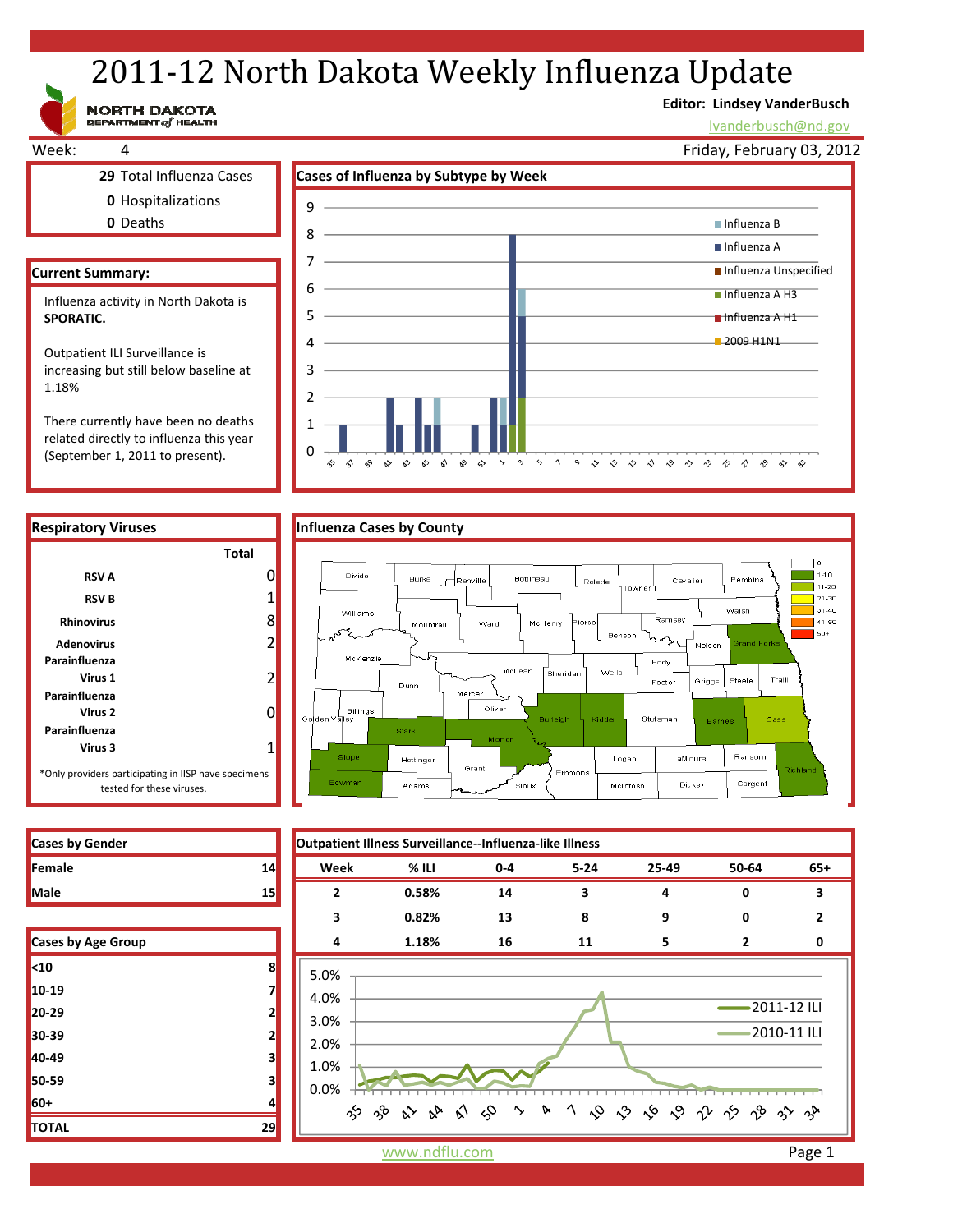# 2011-12 North Dakota Weekly Influenza Update

**Editor: Lindsey VanderBusch**

lvanderbusch@nd.gov

Friday, February 03, 2012



**10‐19 7 20‐29 2 30‐39 2 40‐49 3 50‐59 3**

**TOTAL 29**

#### Week: 4 **29** Total Influenza Cases **Cases of Influenza by Subtype by Week 0** Hospitalizations **0** Deaths **Current Summary:** 2 3 4 5 6 7 8 9 Influenza B Influenza A **Influenza Unspecified** ■ Influenza A H3 Influenza A H1 **2009 H1N1** Influenza activity in North Dakota is **SPORATIC.**  Outpatient ILI Surveillance is increasing but still below baseline at 1.18%

There currently have been no deaths related directly to influenza this year (September 1, 2011 to present).





| <b>Cases by Gender</b>    |    | Outpatient Illness Surveillance--Influenza-like Illness |                         |         |          |       |                |       |
|---------------------------|----|---------------------------------------------------------|-------------------------|---------|----------|-------|----------------|-------|
| Female                    | 14 | Week                                                    | % ILI                   | $0 - 4$ | $5 - 24$ | 25-49 | 50-64          | $65+$ |
| Male                      | 15 |                                                         | 0.58%                   | 14      | 3        | 4     | 0              | з     |
|                           |    | 3                                                       | 0.82%                   | 13      | 8        | 9     | 0              | 2     |
| <b>Cases by Age Group</b> |    | 4                                                       | 1.18%                   | 16      | 11       | 5     | 2              | 0     |
| <10                       | 8  | 5.0%                                                    |                         |         |          |       |                |       |
| 10-19                     |    | 4.0%                                                    |                         |         |          |       |                |       |
| 20-29                     | 2  | 3.0%                                                    |                         |         |          |       | $-2011-12$ ILI |       |
| 30-39                     |    | 2.0%                                                    |                         |         |          |       | 2010-11 ILI    |       |
| 40-49                     |    | 1.0%                                                    |                         |         |          |       |                |       |
| 50-59                     |    | 0.0%                                                    |                         |         |          |       |                |       |
| 60+                       |    |                                                         | ゕゕゕゕゕ゙ゎゕヽゕヾ゚゚゚゚゚ゕゕゕゕゕゕゕ |         |          |       |                |       |
| TOTAL                     | 29 |                                                         |                         |         |          |       |                |       |

www.ndflu.com **Page 1**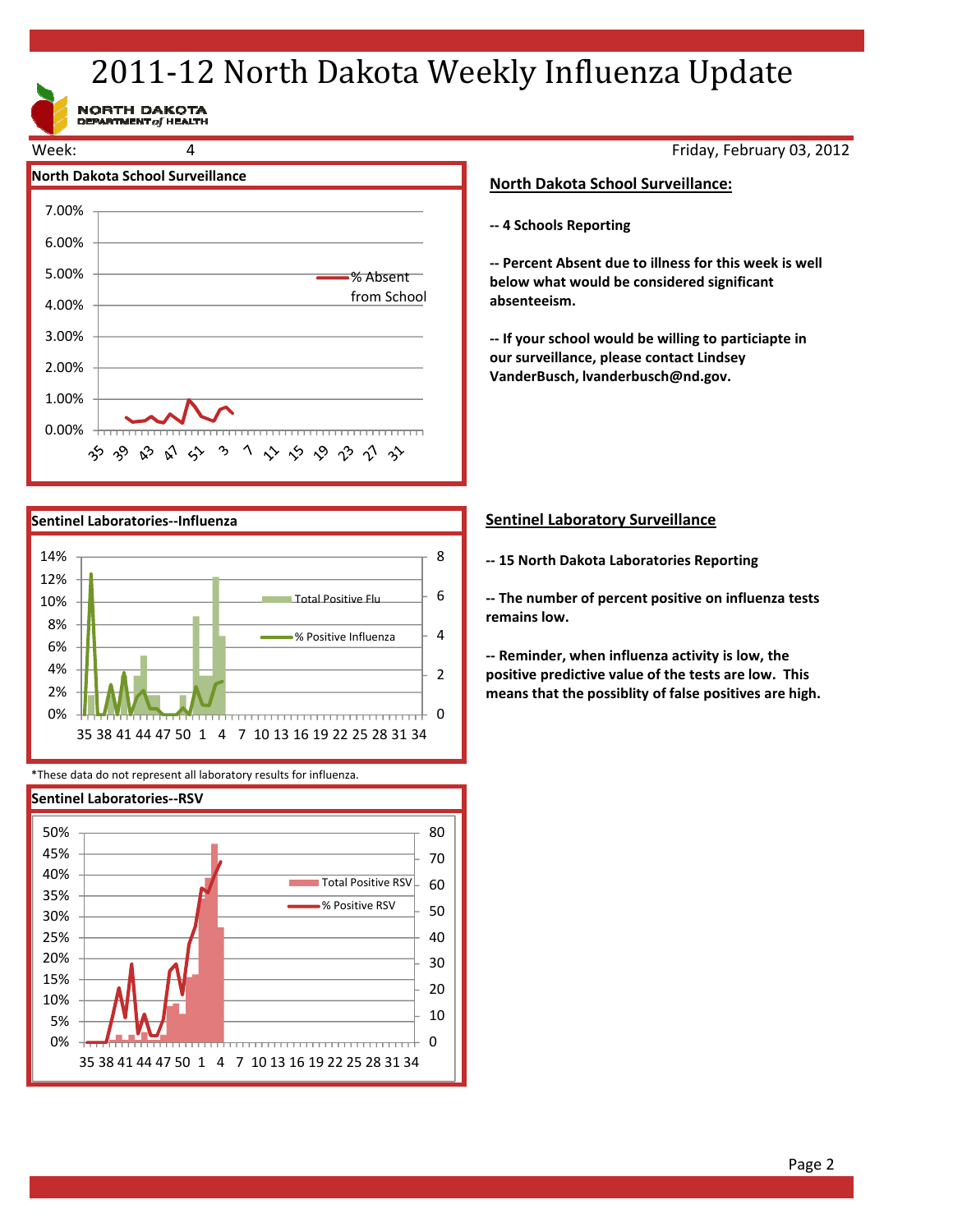## 2011-12 North Dakota Weekly Influenza Update

NORTH DAKOTA<br>DEPARTMENT of HEALTH





\*These data do not represent all laboratory results for influenza.



Friday, February 03, 2012

### **North Dakota School Surveillance:**

**‐‐ 4 Schools Reporting**

**‐‐ Percent Absent due to illness for this week is well below what would be considered significant absenteeism.**

**‐‐ If your school would be willing to particiapte in our surveillance, please contact Lindsey VanderBusch, lvanderbusch@nd.gov.**

### **Sentinel Laboratory Surveillance**

**‐‐ 15 North Dakota Laboratories Reporting**

**‐‐ The number of percent positive on influenza tests remains low.**

**‐‐ Reminder, when influenza activity is low, the positive predictive value of the tests are low. This means that the possiblity of false positives are high.**